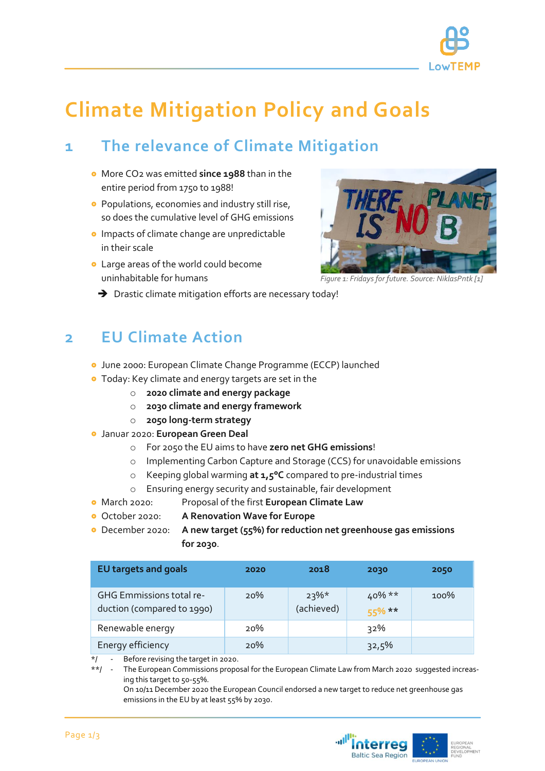

*Figure 1: Fridays for future. Source: NiklasPntk [1]*

# **Climate Mitigation Policy and Goals**

## **1 The relevance of Climate Mitigation**

- More CO2 was emitted **since 1988** than in the entire period from 1750 to 1988!
- **•** Populations, economies and industry still rise, so does the cumulative level of GHG emissions
- **o** Impacts of climate change are unpredictable in their scale
- Large areas of the world could become uninhabitable for humans



### **2 EU Climate Action**

- June 2000: European Climate Change Programme (ECCP) launched
- Today: Key climate and energy targets are set in the
	- o **2020 climate and energy package**
	- o **2030 climate and energy framework**
	- o **2050 long-term strategy**
- Januar 2020: **European Green Deal**
	- o For 2050 the EU aims to have **zero net GHG emissions**!
	- o Implementing Carbon Capture and Storage (CCS) for unavoidable emissions
	- o Keeping global warming **at 1,5°C** compared to pre-industrial times
	- o Ensuring energy security and sustainable, fair development
- March 2020: Proposal of the first **European Climate Law**
- October 2020: **A Renovation Wave for Europe**
- December 2020: **A new target (55%) for reduction net greenhouse gas emissions for 2030**.

| <b>EU targets and goals</b>                            | 2020 | 2018                  | 2030                  | 2050 |
|--------------------------------------------------------|------|-----------------------|-----------------------|------|
| GHG Emmissions total re-<br>duction (compared to 1990) | 20%  | $23\%*$<br>(achieved) | $40\%**$<br>$55\%$ ** | 100% |
| Renewable energy                                       | 20%  |                       | 32%                   |      |
| Energy efficiency                                      | 20%  |                       | 32,5%                 |      |

Before revising the target in 2020.

\*\*/ - The European Commissions proposal for the European Climate Law from March 2020 suggested increasing this target to 50-55%.

On 10/11 December 2020 the European Council endorsed a new target to reduce net greenhouse gas emissions in the EU by at least 55% by 2030.

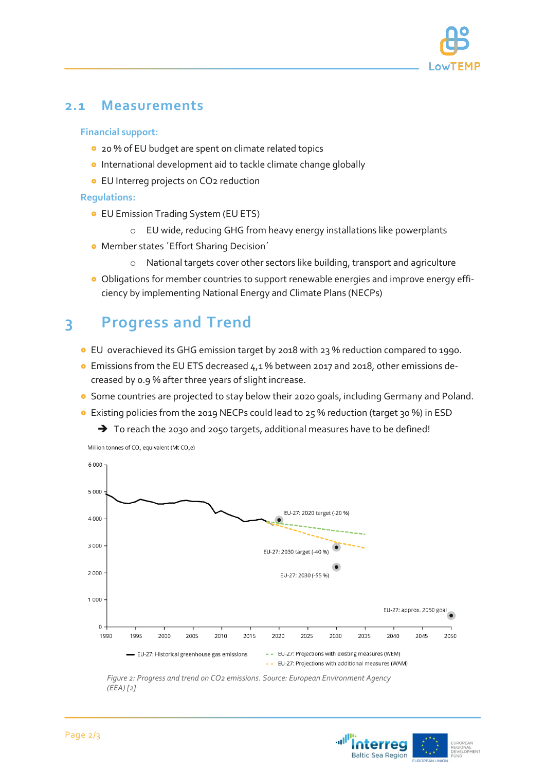

### **2.1 Measurements**

#### **Financial support:**

- **0** 20 % of EU budget are spent on climate related topics
- **o** International development aid to tackle climate change globally
- **•** EU Interreg projects on CO<sub>2</sub> reduction

#### **Regulations:**

- EU Emission Trading System (EU ETS)
	- o EU wide, reducing GHG from heavy energy installations like powerplants
- **Member states 'Effort Sharing Decision'** 
	- o National targets cover other sectors like building, transport and agriculture
- Obligations for member countries to support renewable energies and improve energy efficiency by implementing National Energy and Climate Plans (NECPs)

### **3 Progress and Trend**

- EU overachieved its GHG emission target by 2018 with 23 % reduction compared to 1990.
- Emissions from the EU ETS decreased 4,1 % between 2017 and 2018, other emissions decreased by 0.9 % after three years of slight increase.
- **•** Some countries are projected to stay below their 2020 goals, including Germany and Poland.
- Existing policies from the 2019 NECPs could lead to 25 % reduction (target 30 %) in ESD
	- $\rightarrow$  To reach the 2030 and 2050 targets, additional measures have to be defined!



*Figure 2: Progress and trend on CO2 emissions. Source: European Environment Agency (EEA) [2]*